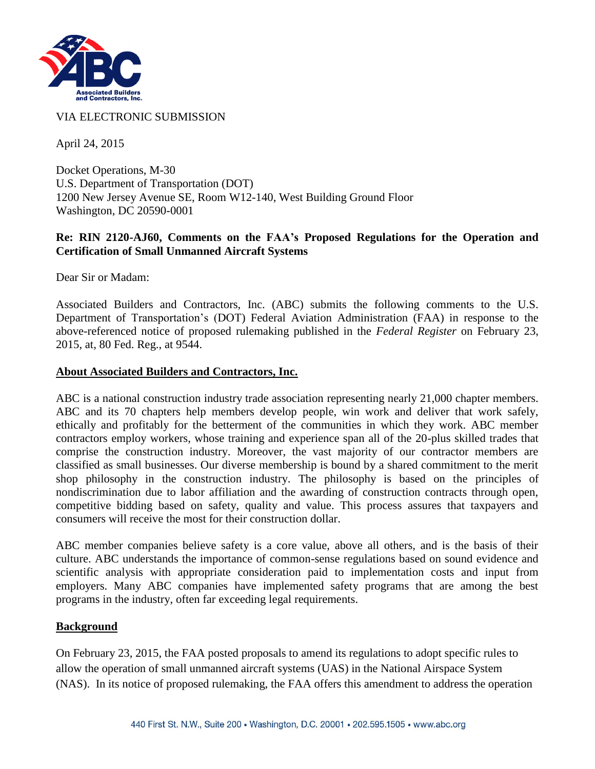

VIA ELECTRONIC SUBMISSION

April 24, 2015

Docket Operations, M-30 U.S. Department of Transportation (DOT) 1200 New Jersey Avenue SE, Room W12-140, West Building Ground Floor Washington, DC 20590-0001

### **Re: RIN 2120-AJ60, Comments on the FAA's Proposed Regulations for the Operation and Certification of Small Unmanned Aircraft Systems**

Dear Sir or Madam:

Associated Builders and Contractors, Inc. (ABC) submits the following comments to the U.S. Department of Transportation's (DOT) Federal Aviation Administration (FAA) in response to the above-referenced notice of proposed rulemaking published in the *Federal Register* on February 23, 2015, at, 80 Fed. Reg., at 9544.

### **About Associated Builders and Contractors, Inc.**

ABC is a national construction industry trade association representing nearly 21,000 chapter members. ABC and its 70 chapters help members develop people, win work and deliver that work safely, ethically and profitably for the betterment of the communities in which they work. ABC member contractors employ workers, whose training and experience span all of the 20-plus skilled trades that comprise the construction industry. Moreover, the vast majority of our contractor members are classified as small businesses. Our diverse membership is bound by a shared commitment to the merit shop philosophy in the construction industry. The philosophy is based on the principles of nondiscrimination due to labor affiliation and the awarding of construction contracts through open, competitive bidding based on safety, quality and value. This process assures that taxpayers and consumers will receive the most for their construction dollar.

ABC member companies believe safety is a core value, above all others, and is the basis of their culture. ABC understands the importance of common-sense regulations based on sound evidence and scientific analysis with appropriate consideration paid to implementation costs and input from employers. Many ABC companies have implemented safety programs that are among the best programs in the industry, often far exceeding legal requirements.

#### **Background**

On February 23, 2015, the FAA posted proposals to amend its regulations to adopt specific rules to allow the operation of small unmanned aircraft systems (UAS) in the National Airspace System (NAS). In its notice of proposed rulemaking, the FAA offers this amendment to address the operation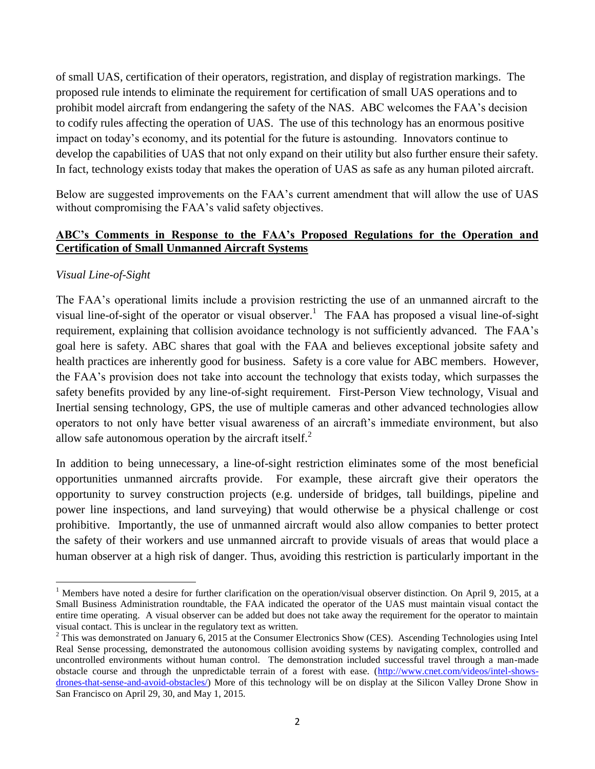of small UAS, certification of their operators, registration, and display of registration markings. The proposed rule intends to eliminate the requirement for certification of small UAS operations and to prohibit model aircraft from endangering the safety of the NAS. ABC welcomes the FAA's decision to codify rules affecting the operation of UAS. The use of this technology has an enormous positive impact on today's economy, and its potential for the future is astounding. Innovators continue to develop the capabilities of UAS that not only expand on their utility but also further ensure their safety. In fact, technology exists today that makes the operation of UAS as safe as any human piloted aircraft.

Below are suggested improvements on the FAA's current amendment that will allow the use of UAS without compromising the FAA's valid safety objectives.

## **ABC's Comments in Response to the FAA's Proposed Regulations for the Operation and Certification of Small Unmanned Aircraft Systems**

### *Visual Line-of-Sight*

 $\overline{a}$ 

The FAA's operational limits include a provision restricting the use of an unmanned aircraft to the visual line-of-sight of the operator or visual observer.<sup>1</sup> The FAA has proposed a visual line-of-sight requirement, explaining that collision avoidance technology is not sufficiently advanced. The FAA's goal here is safety. ABC shares that goal with the FAA and believes exceptional jobsite safety and health practices are inherently good for business. Safety is a core value for ABC members. However, the FAA's provision does not take into account the technology that exists today, which surpasses the safety benefits provided by any line-of-sight requirement. First-Person View technology, Visual and Inertial sensing technology, GPS, the use of multiple cameras and other advanced technologies allow operators to not only have better visual awareness of an aircraft's immediate environment, but also allow safe autonomous operation by the aircraft itself.<sup>2</sup>

In addition to being unnecessary, a line-of-sight restriction eliminates some of the most beneficial opportunities unmanned aircrafts provide. For example, these aircraft give their operators the opportunity to survey construction projects (e.g. underside of bridges, tall buildings, pipeline and power line inspections, and land surveying) that would otherwise be a physical challenge or cost prohibitive. Importantly, the use of unmanned aircraft would also allow companies to better protect the safety of their workers and use unmanned aircraft to provide visuals of areas that would place a human observer at a high risk of danger. Thus, avoiding this restriction is particularly important in the

 $1$  Members have noted a desire for further clarification on the operation/visual observer distinction. On April 9, 2015, at a Small Business Administration roundtable, the FAA indicated the operator of the UAS must maintain visual contact the entire time operating. A visual observer can be added but does not take away the requirement for the operator to maintain visual contact. This is unclear in the regulatory text as written.

 $2$  This was demonstrated on January 6, 2015 at the Consumer Electronics Show (CES). Ascending Technologies using Intel Real Sense processing, demonstrated the autonomous collision avoiding systems by navigating complex, controlled and uncontrolled environments without human control. The demonstration included successful travel through a man-made obstacle course and through the unpredictable terrain of a forest with ease. [\(http://www.cnet.com/videos/intel-shows](http://www.cnet.com/videos/intel-shows-drones-that-sense-and-avoid-obstacles/)[drones-that-sense-and-avoid-obstacles/\)](http://www.cnet.com/videos/intel-shows-drones-that-sense-and-avoid-obstacles/) More of this technology will be on display at the Silicon Valley Drone Show in San Francisco on April 29, 30, and May 1, 2015.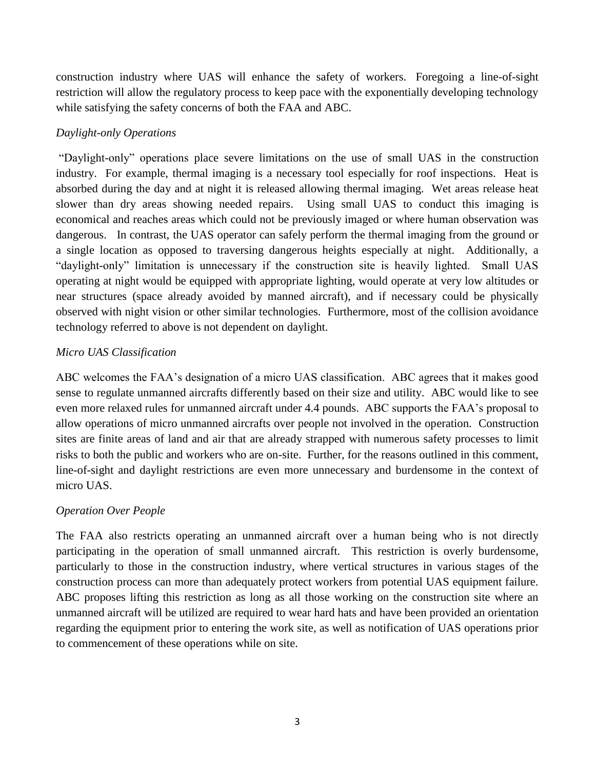construction industry where UAS will enhance the safety of workers. Foregoing a line-of-sight restriction will allow the regulatory process to keep pace with the exponentially developing technology while satisfying the safety concerns of both the FAA and ABC.

# *Daylight-only Operations*

"Daylight-only" operations place severe limitations on the use of small UAS in the construction industry. For example, thermal imaging is a necessary tool especially for roof inspections. Heat is absorbed during the day and at night it is released allowing thermal imaging. Wet areas release heat slower than dry areas showing needed repairs. Using small UAS to conduct this imaging is economical and reaches areas which could not be previously imaged or where human observation was dangerous. In contrast, the UAS operator can safely perform the thermal imaging from the ground or a single location as opposed to traversing dangerous heights especially at night. Additionally, a "daylight-only" limitation is unnecessary if the construction site is heavily lighted. Small UAS operating at night would be equipped with appropriate lighting, would operate at very low altitudes or near structures (space already avoided by manned aircraft), and if necessary could be physically observed with night vision or other similar technologies. Furthermore, most of the collision avoidance technology referred to above is not dependent on daylight.

## *Micro UAS Classification*

ABC welcomes the FAA's designation of a micro UAS classification. ABC agrees that it makes good sense to regulate unmanned aircrafts differently based on their size and utility. ABC would like to see even more relaxed rules for unmanned aircraft under 4.4 pounds. ABC supports the FAA's proposal to allow operations of micro unmanned aircrafts over people not involved in the operation. Construction sites are finite areas of land and air that are already strapped with numerous safety processes to limit risks to both the public and workers who are on-site. Further, for the reasons outlined in this comment, line-of-sight and daylight restrictions are even more unnecessary and burdensome in the context of micro UAS.

## *Operation Over People*

The FAA also restricts operating an unmanned aircraft over a human being who is not directly participating in the operation of small unmanned aircraft. This restriction is overly burdensome, particularly to those in the construction industry, where vertical structures in various stages of the construction process can more than adequately protect workers from potential UAS equipment failure. ABC proposes lifting this restriction as long as all those working on the construction site where an unmanned aircraft will be utilized are required to wear hard hats and have been provided an orientation regarding the equipment prior to entering the work site, as well as notification of UAS operations prior to commencement of these operations while on site.